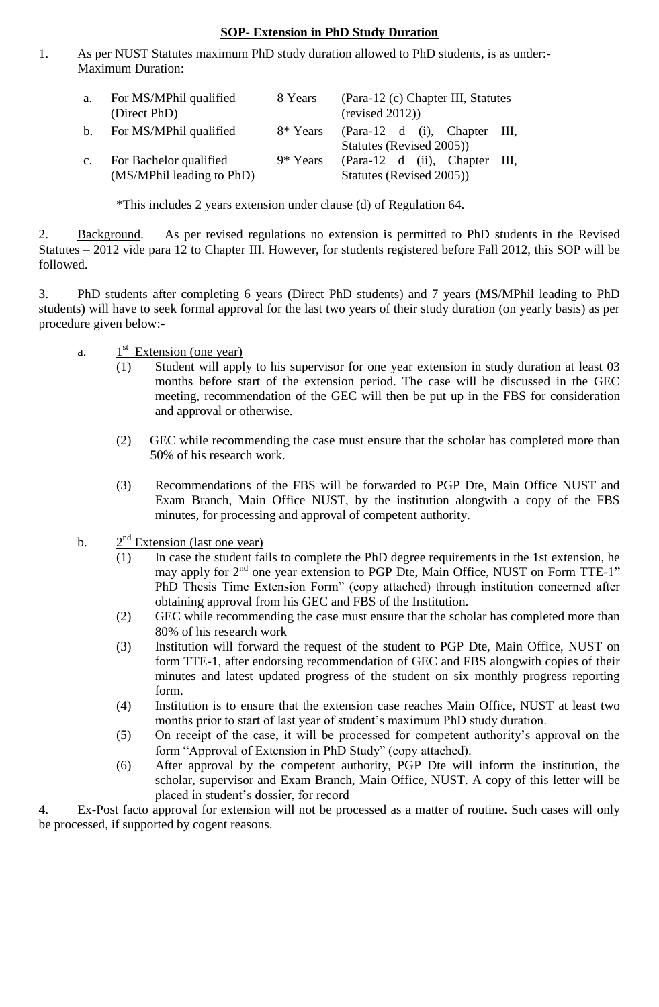#### **SOP- Extension in PhD Study Duration**

1. As per NUST Statutes maximum PhD study duration allowed to PhD students, is as under:- Maximum Duration:

| a.             | For MS/MPhil qualified<br>(Direct PhD) | 8 Years  | (Para-12 (c) Chapter III, Statutes<br>(revised 2012)) |  |  |
|----------------|----------------------------------------|----------|-------------------------------------------------------|--|--|
| b.             | For MS/MPhil qualified                 | 8* Years | (Para-12 d (i), Chapter III,                          |  |  |
|                |                                        |          | Statutes (Revised 2005))                              |  |  |
| $\mathbf{c}$ . | For Bachelor qualified                 | 9* Years | (Para-12 d (ii), Chapter III,                         |  |  |
|                | (MS/MPhil leading to PhD)              |          | Statutes (Revised 2005))                              |  |  |

\*This includes 2 years extension under clause (d) of Regulation 64.

2. Background. As per revised regulations no extension is permitted to PhD students in the Revised Statutes – 2012 vide para 12 to Chapter III. However, for students registered before Fall 2012, this SOP will be followed.

3. PhD students after completing 6 years (Direct PhD students) and 7 years (MS/MPhil leading to PhD students) will have to seek formal approval for the last two years of their study duration (on yearly basis) as per procedure given below:-

- a. st Extension (one year)
	- Student will apply to his supervisor for one year extension in study duration at least 03 months before start of the extension period. The case will be discussed in the GEC meeting, recommendation of the GEC will then be put up in the FBS for consideration and approval or otherwise.
	- (2) GEC while recommending the case must ensure that the scholar has completed more than 50% of his research work.
	- (3) Recommendations of the FBS will be forwarded to PGP Dte, Main Office NUST and Exam Branch, Main Office NUST, by the institution alongwith a copy of the FBS minutes, for processing and approval of competent authority.
- $<sub>b</sub>$ .</sub>  $2<sup>nd</sup>$  Extension (last one year)
	- (1) In case the student fails to complete the PhD degree requirements in the 1st extension, he may apply for 2<sup>nd</sup> one year extension to PGP Dte, Main Office, NUST on Form TTE-1" PhD Thesis Time Extension Form" (copy attached) through institution concerned after obtaining approval from his GEC and FBS of the Institution.
	- (2) GEC while recommending the case must ensure that the scholar has completed more than 80% of his research work
	- (3) Institution will forward the request of the student to PGP Dte, Main Office, NUST on form TTE-1, after endorsing recommendation of GEC and FBS alongwith copies of their minutes and latest updated progress of the student on six monthly progress reporting form.
	- (4) Institution is to ensure that the extension case reaches Main Office, NUST at least two months prior to start of last year of student's maximum PhD study duration.
	- (5) On receipt of the case, it will be processed for competent authority's approval on the form "Approval of Extension in PhD Study" (copy attached).
	- (6) After approval by the competent authority, PGP Dte will inform the institution, the scholar, supervisor and Exam Branch, Main Office, NUST. A copy of this letter will be placed in student's dossier, for record

4. Ex-Post facto approval for extension will not be processed as a matter of routine. Such cases will only be processed, if supported by cogent reasons.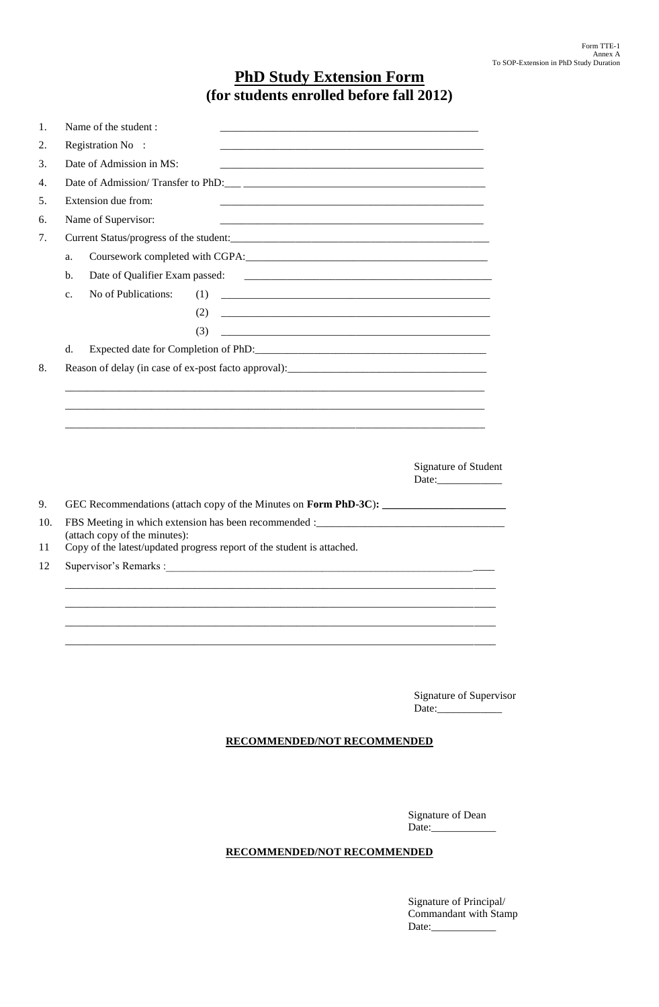# **PhD Study Extension Form (for students enrolled before fall 2012)**

|                | Name of the student:           |                                                                                                                                                             |                      |
|----------------|--------------------------------|-------------------------------------------------------------------------------------------------------------------------------------------------------------|----------------------|
|                | Registration No :              |                                                                                                                                                             |                      |
|                | Date of Admission in MS:       | <u> 1980 - Johann Barbara, martxa alemaniar argumento de la contrada de la contrada de la contrada de la contrad</u>                                        |                      |
|                |                                | Date of Admission/Transfer to PhD:                                                                                                                          |                      |
|                | Extension due from:            |                                                                                                                                                             |                      |
|                | Name of Supervisor:            | <u> 1980 - Johann Barn, mars ann an t-Amhain ann an t-Amhain an t-Amhain an t-Amhain an t-Amhain an t-Amhain an t-</u>                                      |                      |
|                |                                |                                                                                                                                                             |                      |
| a.             |                                |                                                                                                                                                             |                      |
| $\mathbf{b}$ . | Date of Qualifier Exam passed: |                                                                                                                                                             |                      |
| c.             | No of Publications:            | (1)                                                                                                                                                         |                      |
|                |                                | (2)                                                                                                                                                         |                      |
|                |                                | (3)                                                                                                                                                         |                      |
|                |                                |                                                                                                                                                             |                      |
| $d_{\cdot}$    |                                | Reason of delay (in case of ex-post facto approval):_____________________________                                                                           |                      |
|                |                                |                                                                                                                                                             |                      |
|                |                                |                                                                                                                                                             | Signature of Student |
|                |                                |                                                                                                                                                             |                      |
|                | (attach copy of the minutes):  | FBS Meeting in which extension has been recommended :____________________________<br>Copy of the latest/updated progress report of the student is attached. |                      |
|                |                                |                                                                                                                                                             |                      |
|                |                                |                                                                                                                                                             |                      |

Signature of Supervisor Date:

#### **RECOMMENDED/NOT RECOMMENDED**

Signature of Dean Date:

#### **RECOMMENDED/NOT RECOMMENDED**

Signature of Principal/ Commandant with Stamp Date: